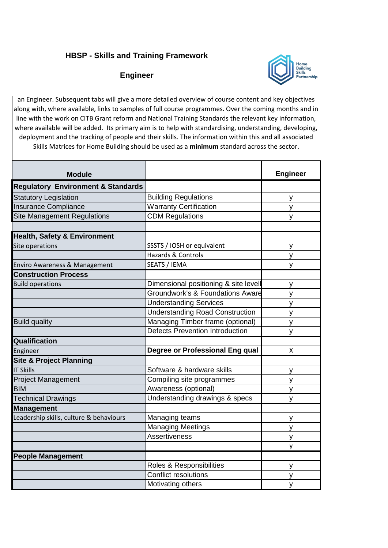## **HBSP - Skills and Training Framework**

## **Engineer**



an Engineer. Subsequent tabs will give a more detailed overview of course content and key objectives along with, where available, links to samples of full course programmes. Over the coming months and in line with the work on CITB Grant reform and National Training Standards the relevant key information, where available will be added. Its primary aim is to help with standardising, understanding, developing, deployment and the tracking of people and their skills. The information within this and all associated Skills Matrices for Home Building should be used as a **minimum** standard across the sector.

| <b>Module</b>                                 |                                             | <b>Engineer</b> |
|-----------------------------------------------|---------------------------------------------|-----------------|
| <b>Regulatory Environment &amp; Standards</b> |                                             |                 |
| <b>Statutory Legislation</b>                  | <b>Building Regulations</b>                 | y               |
| <b>Insurance Compliance</b>                   | <b>Warranty Certification</b>               | y               |
| <b>Site Management Regulations</b>            | <b>CDM Regulations</b>                      | y               |
|                                               |                                             |                 |
| <b>Health, Safety &amp; Environment</b>       |                                             |                 |
| Site operations                               | SSSTS / IOSH or equivalent                  | y               |
|                                               | <b>Hazards &amp; Controls</b>               | ٧               |
| Enviro Awareness & Management                 | <b>SEATS / IEMA</b>                         | y               |
| <b>Construction Process</b>                   |                                             |                 |
| <b>Build operations</b>                       | Dimensional positioning & site levell       | y               |
|                                               | <b>Groundwork's &amp; Foundations Aware</b> | y               |
|                                               | <b>Understanding Services</b>               | y               |
|                                               | <b>Understanding Road Construction</b>      | V               |
| <b>Build quality</b>                          | Managing Timber frame (optional)            | y               |
|                                               | <b>Defects Prevention Introduction</b>      | y               |
| Qualification                                 |                                             |                 |
| Engineer                                      | Degree or Professional Eng qual             | X               |
| <b>Site &amp; Project Planning</b>            |                                             |                 |
| <b>IT Skills</b>                              | Software & hardware skills                  | У               |
| <b>Project Management</b>                     | Compiling site programmes                   | y               |
| <b>BIM</b>                                    | Awareness (optional)                        | У               |
| <b>Technical Drawings</b>                     | Understanding drawings & specs              | y               |
| <b>Management</b>                             |                                             |                 |
| Leadership skills, culture & behaviours       | Managing teams                              | y               |
|                                               | <b>Managing Meetings</b>                    | y               |
|                                               | <b>Assertiveness</b>                        | У               |
|                                               |                                             | y               |
| <b>People Management</b>                      |                                             |                 |
|                                               | Roles & Responsibilities                    | y               |
|                                               | <b>Conflict resolutions</b>                 | ٧               |
|                                               | Motivating others                           | y               |